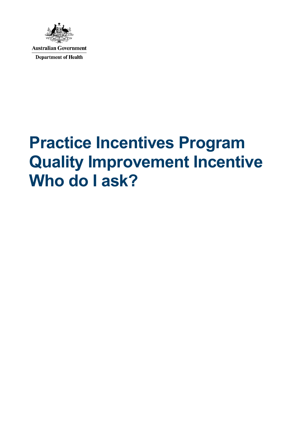

**Australian Government Department of Health** 

## **Practice Incentives Program Quality Improvement Incentive Who do I ask?**